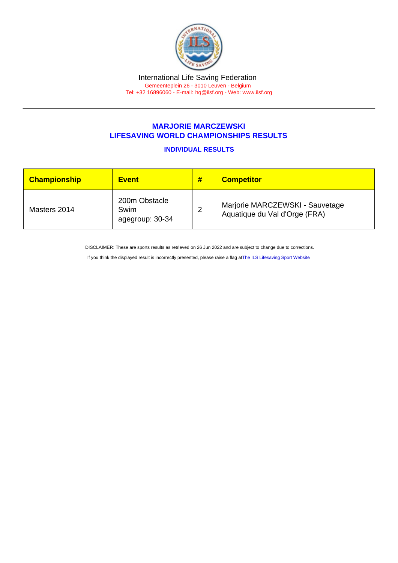## MARJORIE MARCZEWSKI LIFESAVING WORLD CHAMPIONSHIPS RESULTS

## INDIVIDUAL RESULTS

| <b>Championship</b> | <b>Event</b>                             | # | <b>Competitor</b>                                                |
|---------------------|------------------------------------------|---|------------------------------------------------------------------|
| Masters 2014        | 200m Obstacle<br>Swim<br>agegroup: 30-34 | ົ | Marjorie MARCZEWSKI - Sauvetage<br>Aquatique du Val d'Orge (FRA) |

DISCLAIMER: These are sports results as retrieved on 26 Jun 2022 and are subject to change due to corrections.

If you think the displayed result is incorrectly presented, please raise a flag at [The ILS Lifesaving Sport Website.](https://sport.ilsf.org)